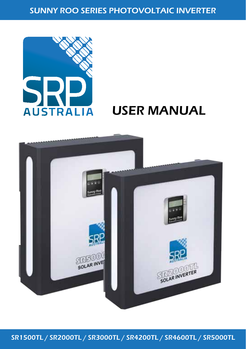SUNNY ROO SERIES PHOTOVOLTAIC INVERTER



# AUSTRALIA USER MANUAL



SR1500TL / SR2000TL / SR3000TL / SR4200TL / SR4600TL / SR5000TL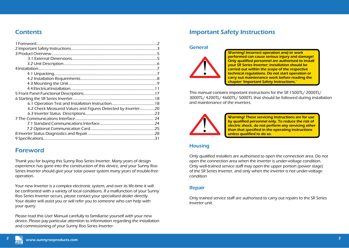# **Contents**

| 6.2 Check Measured Values and Figures Detected by Inverter20 |  |
|--------------------------------------------------------------|--|
|                                                              |  |
|                                                              |  |
|                                                              |  |
|                                                              |  |
|                                                              |  |
|                                                              |  |

# Foreword

Thank you for buying this Sunny Roo Series Inverter. Many years of design experience has gone into the construction of this device, and your Sunny Roo Series Inverter should give your solar power system many years of trouble-free operation.

Your new Inverter is a complex electronic system, and over its life-time it will be confronted with a variety of local conditions. If a malfunction of your Sunny Roo Series Inverter occurs, please contact your specialised dealer directly. Your dealer will assist you or will refer you to someone who can help with your query.

Please read this User Manual carefully to familiarise yourself with your new device. Please pay particular attention to information regarding the installation and commissioning of your Sunny Roo Series Inverter.

# Important Safety Instructions

# General



Warning! Incorrect operation and/or work performed can cause serious injury and damage! Only qualified personnel are authorised to install your SR Series Inverter; installation should be carried out within the scope of the respective technical regulations. Do not start operation or carry out maintenance work before reading the chapter 'Important Safety Instructions.'

This manual contains important instructions for the SR 1500TL/ 2000TL/ 3000TL/ 4200TL/ 4600TL/ 5000TL that should be followed during installation and maintenance of the inverters.



Warning! These servicing instructions are for use by qualified personnel only. To reduce the risk of electric shock, do not perform any servicing other than that specified in the operating instructions unless qualified to do so.

#### **Housing**

Only qualified installers are authorised to open the connection area. Do not open the connection area when the inverter is under-voltage condition. Only well-trained service staff may open the upper portion (power stage) of the SR Series Inverter, and only when the inverter is not under-voltage condition

#### Repair

Only trained service staff are authorised to carry out repairs to the SR Series Inverter unit.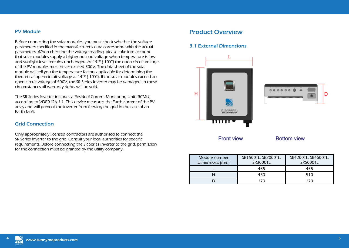#### PV Module

Before connecting the solar modules, you must check whether the voltage parameters specified in the manufacturer's data correspond with the actual parameters. When checking the voltage reading, please take into account that solar modules supply a higher no-load voltage when temperature is low and sunlight level remains unchanged. At 14°F (-10°C) the open-circuit voltage of the PV modules must never exceed 500V. The data sheet of the solar module will tell you the temperature factors applicable for determining the theoretical open-circuit voltage at 14°F (-10°C). If the solar modules exceed an open-circuit voltage of 500V, the SR Series Inverter may be damaged. In these circumstances all warranty rights will be void.

The SR Series Inverter includes a Residual Current Monitoring Unit (RCMU) according to VDE0126-1-1. This device measures the Earth current of the PV array and will prevent the inverter from feeding the grid in the case of an Earth fault.

#### Grid Connection

Only appropriately licensed contractors are authorised to connect the SR Series Inverter to the grid. Consult your local authorities for specific requirements. Before connecting the SR Series Inverter to the grid, permission for the connection must be granted by the utility company.

# Product Overview

#### 3.1 External Dimensions





Front view

**Bottom view** 

| Module number<br>Dimensions (mm) | SR1500TL, SR2000TL,<br><b>SR3000TL</b> | SR4200TL, SR4600TL,<br><b>SR5000TL</b> |
|----------------------------------|----------------------------------------|----------------------------------------|
|                                  | 455                                    | 455                                    |
|                                  | 430                                    | 510                                    |
|                                  |                                        | 170                                    |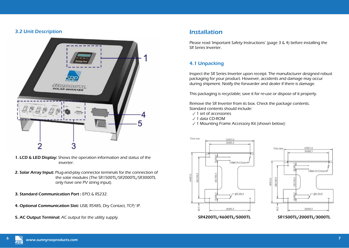### 3.2 Unit Description



- 1. LCD & LED Display: Shows the operation information and status of the inverter.
- 2. Solar Array Input: Plug-and-play connector terminals for the connection of the solar modules (The SR1500TL/SR2000TL/SR3000TL only have one PV string input).
- 3. Standard Communication Port : EPO & RS232.
- 4. Optional Communication Slot: USB, RS485, Dry Contact, TCP/ IP.
- 5. AC Output Terminal: AC output for the utility supply.

# Installation

Please read 'Important Safety Instructions' (page 3 & 4) before installing the SR Series Inverter.

## 4.1 Unpacking

Inspect the SR Series Inverter upon receipt. The manufacturer designed robust packaging for your product. However, accidents and damage may occur during shipment. Notify the forwarder and dealer if there is damage.

This packaging is recyclable; save it for re-use or dispose of it properly.

Remove the SR Inverter from its box. Check the package contents. Standard contents should include:

- ✓ 1 set of accessories
- ✓ 1 data CD-ROM
- ✓ 1 Mounting Frame Accessory Kit (shown below):





SR4200TL/4600TL/5000TL SR1500TL/2000TL/3000TL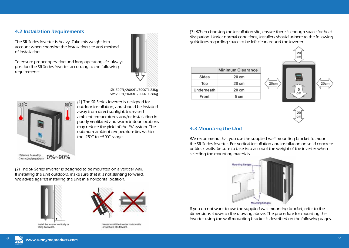#### 4.2 Installation Requirements

The SR Series Inverter is heavy. Take this weight into account when choosing the installation site and method of installation.

To ensure proper operation and long operating life, always position the SR Series Inverter according to the following requirements:



SR1500TL/2000TL/3000TL 23Kg SR4200TL/4600TL/5000TL 28Kg



-25°C 60°C (1) The SR Series Inverter is designed for outdoor installation, and should be installed away from direct sunlight. Increased ambient temperatures and/or installation in poorly ventilated and warm indoor locations may reduce the yield of the PV system. The optimum ambient temperature lies within the -25°C to +50°C range.

Relative humidity<br>(non condensation) 0%~90%

(2) The SR Series Inverter is designed to be mounted on a vertical wall. If installing the unit outdoors, make sure that it is not slanting forward. We advise against installing the unit in a horizontal position.





Never install the inverter horizontally

or so that it tilts forward.

Install the inverter vertically or

(3) When choosing the installation site, ensure there is enough space for heat dissipation. Under normal conditions, installers should adhere to the following guidelines regarding space to be left clear around the inverter:

|            | Minimum Clearance |  |
|------------|-------------------|--|
| Sides      | 20 cm             |  |
| Top        | $20 \text{ cm}$   |  |
| Underneath | 20 cm             |  |
| Front      | 5 cm              |  |





#### 4.3 Mounting the Unit

We recommend that you use the supplied wall mounting bracket to mount the SR Series Inverter. For vertical installation and installation on solid concrete or block walls, be sure to take into account the weight of the inverter when selecting the mounting materials.



If you do not want to use the supplied wall mounting bracket, refer to the dimensions shown in the drawing above. The procedure for mounting the inverter using the wall mounting bracket is described on the following pages.

tilting backward.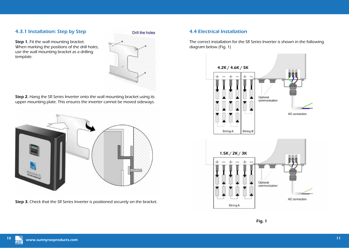### 4.3.1 Installation: Step by Step

Step 1. Fit the wall mounting bracket. When marking the positions of the drill holes, use the wall mounting bracket as a drilling template.



Step 2. Hang the SR Series Inverter onto the wall mounting bracket using its upper mounting plate. This ensures the inverter cannot be moved sideways.



Step 3. Check that the SR Series Inverter is positioned securely on the bracket.

### 4.4 Electrical Installation

The correct installation for the SR Series Inverter is shown in the following diagram below (Fig. 1)

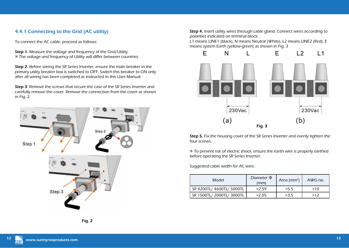## 4.4.1 Connecting to the Grid (AC utility)

To connect the AC cable, proceed as follows:

Step 1. Measure the voltage and frequency of the Grid/Utility. ※ The voltage and frequency of Utility will differ between countries.

Step 2. Before wiring the SR Series Inverter, ensure the main breaker in the primary utility breaker box is switched to OFF. Switch this breaker to ON only after all wiring has been completed as instructed in this User Manual.

Step 3. Remove the screws that secure the case of the SR Series Inverter and carefully remove the cover. Remove the connection from the cover as shown in Fig. 2.



Step 4. Insert utility wires through cable gland. Connect wires according to polarities indicated on terminal block.

L1 means LINE1 (black), N means Neutral (White), L2 means LINE2 (Red), E means system Earth (yellow-green) as shown in Fig. 3



Step 5. Fix the housing cover of the SR Series Inverter and evenly tighten the four screws.

※ To prevent risk of electric shock, ensure the earth wire is properly earthed before operating the SR Series Inverter.

Suggested cable width for AC wire;

| Model                     | Diameter $\Phi$<br>(mm) | Area ( $mm2$ ) | AWG no. |
|---------------------------|-------------------------|----------------|---------|
| SR 4200TL/ 4600TL/ 5000TL | >2.59                   | >5.5           | >10     |
| SR 1500TL/ 2000TL/ 3000TL | >2.05                   | >3.5           | >17     |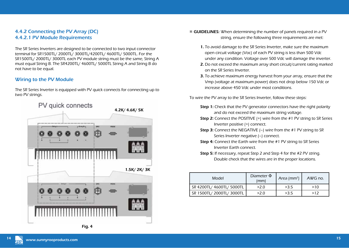## 4.4.2 Connecting the PV Array (DC) 4.4.2.1 PV Module Requirements

The SR Series Inverters are designed to be connected to two input connector terminal for SR1500TL/ 2000TL/ 3000TL/4200TL/ 4600TL/ 5000TL. For the SR1500TL/ 2000TL/ 3000TL each PV module string must be the same, String A must equal String B. The SR4200TL/ 4600TL/ 5000TL String A and String B do not have to be equal.

### Wiring to the PV Module

The SR Series Inverter is equipped with PV quick connects for connecting up to two PV strings.





- ※ GUIDELINES: When determining the number of panels required in a PV string, ensure the following three requirements are met:
	- 1. To avoid damage to the SR Series Inverter, make sure the maximum open circuit voltage (Voc) of each PV string is less than 500 Vdc under any condition. Voltage over 500 Vdc will damage the inverter.
	- 2. Do not exceed the maximum array short circuit/current rating marked on the SR Series Inverter.
	- **3.** To achieve maximum energy harvest from your array, ensure that the Vmp (voltage at maximum power) does not drop below 150 Vdc or increase above 450 Vdc under most conditions.

To wire the PV array to the SR Series Inverter, follow these steps:

- **Step 1:** Check that the PV generator connectors have the right polarity and do not exceed the maximum string voltage.
- Step 2: Connect the POSITIVE (+) wire from the #1 PV string to SR Series Inverter positive (+) connect.
- Step 3: Connect the NEGATIVE (–) wire from the #1 PV string to SR Series Inverter negative (–) connect.
- Step 4: Connect the Earth wire from the #1 PV string to SR Series Inverter Earth connect.
- Step 5: If necessary, repeat Step 2 and Step 4 for the #2 PV string. Double check that the wires are in the proper locations.

| Model                     | Diameter $\Phi$<br>(mm) | Area ( $mm2$ ) | AWG no. |
|---------------------------|-------------------------|----------------|---------|
| SR 4200TL/ 4600TL/ 5000TL | >2.0                    | >3.5           | >10     |
| SR 1500TL/ 2000TL/ 3000TL | >2.0                    | >3.5           | >12     |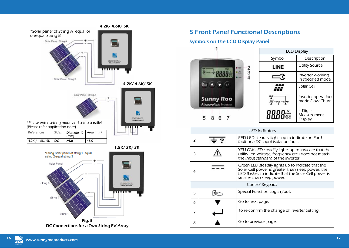



# 5 Front Panel Functional Descriptions

## Symbols on the LCD Display Panel



|               | LCD Display                           |  |  |
|---------------|---------------------------------------|--|--|
| Symbol        | Description                           |  |  |
| LINE          | <b>Utility Source</b>                 |  |  |
|               | Inverter working<br>in specified mode |  |  |
|               | Solar Cell                            |  |  |
| $-PCS - LQAD$ | Inverter operation<br>mode Flow Chart |  |  |
| 8888*         | 4 Digits<br>Measurement<br>Display    |  |  |

| Area ( $mm2$ )                    | <b>LED Indicators</b> |   |                                                                                                                                                                                             |
|-----------------------------------|-----------------------|---|---------------------------------------------------------------------------------------------------------------------------------------------------------------------------------------------|
| >7.0                              | 2                     |   | RED LED steadily lights up to indicate an Earth<br>fault or a DC input isolation fault.                                                                                                     |
| 1.5K/2K/3K<br>1 equal             | 3                     |   | YELLOW LED steadily lights up to indicate that the<br>utility (ex. voltage, frequency etc.) does not match<br>the input standard of the inverter.                                           |
|                                   | 4                     |   | Green LED steadily lights up to indicate that the<br>Solar Cell power is greater than sleep power; the<br>LED flashes to indicate that the Solar Cell power is<br>smaller than sleep power. |
| <b>Art Alberta)</b>               | Control Keypads       |   |                                                                                                                                                                                             |
|                                   | 5                     | B | Special Function Log in /out.                                                                                                                                                               |
|                                   | 6                     |   | Go to next page.                                                                                                                                                                            |
|                                   | 7                     |   | To re-confirm the change of Inverter Setting.                                                                                                                                               |
| Fig. 5<br>r a Two-String PV Array | 8                     |   | Go to previous page.                                                                                                                                                                        |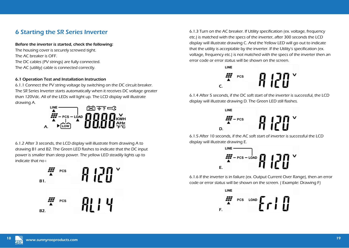# 6 Starting the SR Series Inverter

Before the inverter is started, check the following: The housing cover is securely screwed tight. The AC breaker is OFF. The DC cables (PV strings) are fully connected. The AC (utility) cable is connected correctly.

#### 6.1 Operation Test and Installation Instruction

6.1.1 Connect the PV string voltage by switching on the DC circuit breaker. The SR Series Inverter starts automatically when it receives DC voltage greater than 120Vdc. All of the LEDs will light up. The LCD display will illustrate drawing A.



6.1.2 After 3 seconds, the LCD display will illustrate from drawing A to drawing B1 and B2. The Green LED flashes to indicate that the DC input power is smaller than sleep power. The yellow LED steadily lights up to indicate that  $no +$ 



6.1.3 Turn on the AC breaker. If Utility specification (ex. voltage, frequency etc.) is matched with the specs of the inverter, after 300 seconds the LCD display will illustrate drawing C. And the Yellow LED will go out to indicate that the utility is acceptable by the inverter. If the Utility's specification (ex. voltage, frequency etc.) is not matched with the specs of the inverter then an error code or error status will be shown on the screen.



6.1.4 After 5 seconds, if the DC soft start of the inverter is successful, the LCD display will illustrate drawing D. The Green LED still flashes.



6.1.5 After 10 seconds, if the AC soft start of inverter is successful the LCD display will illustrate drawing E.

$$
\mathbb{E}\left[\mathbb{E}\left[\mathbb{E}\left[\mathbb{E}\right]\right]\right]\leq\mathbb{E}\left[\mathbb{E}\left[\mathbb{E}\left[\mathbb{E}\right]\right]\right]
$$

6.1.6 If the inverter is in failure (ex. Output Current Over Range), then an error code or error status will be shown on the screen. ( Example: Drawing F)

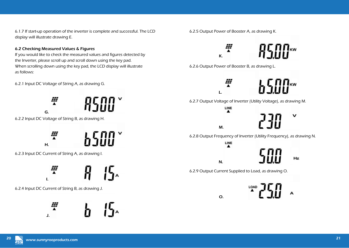6.1.7 If start-up operation of the inverter is complete and successful. The LCD display will illustrate drawing E.

#### 6.2 Checking Measured Values & Figures

If you would like to check the measured values and figures detected by the Inverter, please scroll up and scroll down using the key pad. When scrolling down using the key pad, the LCD display will illustrate as follows:

6.2.1 Input DC Voltage of String A, as drawing G.





6.2.3 Input DC Current of String A, as drawing I.



6.2.4 Input DC Current of String B, as drawing J.



6.2.5 Output Power of Booster A, as drawing K.



6.2.6 Output Power of Booster B, as drawing L.

M.

LINE  $\blacktriangle$ 

L.

N.

O.

27



v

Hz

A

6.2.7 Output Voltage of Inverter (Utility Voltage), as drawing M.

6.2.8 Output Frequency of Inverter (Utility Frequency), as drawing N.



6.2.9 Output Current Supplied to Load, as drawing O.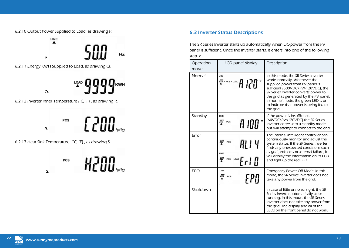6.2.10 Output Power Supplied to Load, as drawing P.



6.2.13 Heat Sink Temperature (°C, °F) , as drawing S.



## 6.3 Inverter Status Descriptions

The SR Series Inverter starts up automatically when DC-power from the PV panel is sufficient. Once the inverter starts, it enters into one of the following status:

| Operation<br>mode | LCD panel display               | Description                                                                                                                                                                                                                                                                                                                   |
|-------------------|---------------------------------|-------------------------------------------------------------------------------------------------------------------------------------------------------------------------------------------------------------------------------------------------------------------------------------------------------------------------------|
| Normal            | LINE<br><i>III –</i> PCS – LOAD | In this mode, the SR Series Inverter<br>works normally. Whenever the<br>supplied power from PV panel is<br>sufficient (500VDC>PV>120VDC), the<br>SR Series Inverter converts power to<br>the grid as generated by the PV panel.<br>In normal mode, the green LED is on<br>to indicate that power is being fed to<br>the grid. |
| Standby           | LINE<br><b>PCS</b>              | If the power is insufficient,<br>(60VDC <pv<120vdc) series<br="" sr="" the="">Inverter enters into a standby mode<br/>but will attempt to connect to the grid.</pv<120vdc)>                                                                                                                                                   |
| Error             | HL I 4                          | The internal intelligent controller can<br>continuously monitor and adjust the<br>system status. If the SR Series Inverter<br>finds any unexpected conditions such<br>as grid problems or internal failure, it<br>will display the information on its LCD<br>and light up the red LED.                                        |
| <b>EPO</b>        | LINE                            | Emergency Power Off Mode. In this<br>mode, the SR Series Inverter does not<br>take any power from the grid.                                                                                                                                                                                                                   |
| Shutdown          |                                 | In case of little or no sunlight, the SR<br>Series Inverter automatically stops<br>running. In this mode, the SR Series<br>Inverter does not take any power from<br>the grid. The display and all of the<br>LEDs on the front panel do not work.                                                                              |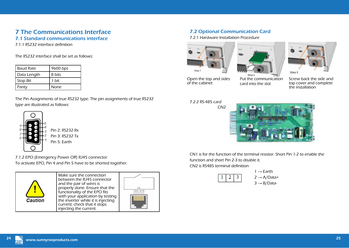# 7 The Communications Interface

7.1 Standard communications interface

7.1.1 RS232 interface definition

The RS232 interface shall be set as follows:

| <b>Baud Rate</b> | 9600 bps |
|------------------|----------|
| Data Length      | 8 bits   |
| Stop Bit         | 1 bit    |
| Parity           | None     |

The Pin Assignments of true RS232 type. The pin assignments of true RS232 type are illustrated as follows:



Pin 3: RS232 Tx

7.1.2 EPO (Emergency Power Off) RJ45 connector To activate EPO, Pin 4 and Pin 5 have to be shorted together.



| Make sure the connection           |  |
|------------------------------------|--|
| between the RJ45 connector         |  |
| and the pair of wires is           |  |
| properly done. Ensure that the     |  |
| functionality of the EPO fits      |  |
| with your application by testing   |  |
| the inverter while it is injecting |  |
| current; check that it stops       |  |
| injecting the current.             |  |



## 7.2 Optional Communication Card

7.2.1 Hardware Installation Procedure







Open the top and sides of the cabinet

Put the communication card into the slot

Screw back the side and top cover and complete the installation

7.2.2 RS-485 card



CN1 is for the function of the terminal resistor. Short Pin 1-2 to enable the function and short Pin 2-3 to disable it. CN2 is RS485 terminal definition



 $1 \rightarrow$  Earth  $2 \rightarrow A/D$ ata+  $3 \rightarrow B/D$ ata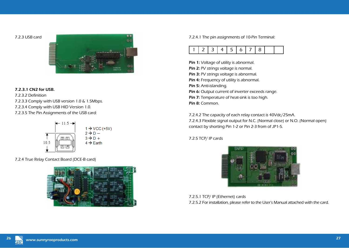7.2.3 USB card



#### 7.2.3.1 CN2 for USB.

7.2.3.2 Definition 7.2.3.3 Comply with USB version 1.0 & 1.5Mbps. 7.2.3.4 Comply with USB HID Version 1.0. 7.2.3.5 The Pin Assignments of the USB card:



7.2.4 True Relay Contact Board (DCE-B card)



7.2.4.1 The pin assignments of 10-Pin Terminal:



Pin 1: Voltage of utility is abnormal. Pin 2: PV strings voltage is normal. Pin 3: PV strings voltage is abnormal. Pin 4: Frequency of utility is abnormal. Pin 5: Anti-islanding. Pin 6: Output current of inverter exceeds range. Pin 7: Temperature of heat-sink is too high. Pin 8: Common.

7.2.4.2 The capacity of each relay contact is 40Vdc/25mA. 7.2.4.3 Flexible signal output for N.C. (Normal close) or N.O. (Normal open) contact by shorting Pin 1-2 or Pin 2-3 from of JP1-5.

7.2.5 TCP/ IP cards



7.2.5.1 TCP/ IP (Ethernet) cards 7.2.5.2 For installation, please refer to the User's Manual attached with the card.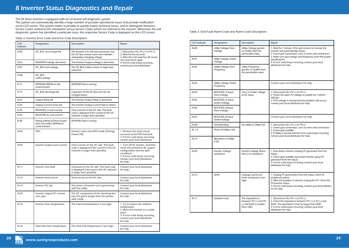The SR Series Inverter is equipped with an on-board self diagnostic system.

This system can automatically identify a large number of possible operational issues and provide notification via its LCD screen. This system makes it possible to quickly isolate technical issues, and to distinguish between Service Codes related to the installation versus Service Codes which are internal to the inverter. Whenever the self diagnostic system has identified a particular issue, the respective Service Code is displayed on the LCD screen.

Table 2. Inverter Error Code and Error Code Description

| <b>LCD</b><br>Indicate | Designation                                                                       | Description                                                                                                                | Repair                                                                                                                                                                                                                                                                                            |  |
|------------------------|-----------------------------------------------------------------------------------|----------------------------------------------------------------------------------------------------------------------------|---------------------------------------------------------------------------------------------------------------------------------------------------------------------------------------------------------------------------------------------------------------------------------------------------|--|
| Er00                   | DC BUS pre-Charge fail                                                            | The Inverter is in soft start procedure, but<br>the DC Bus cannot reach and maintain<br>anticipative charging voltage.     | 1. Disconnect ALL PV (+) or PV (-).<br>2. Wait for few seconds.<br>3. After the LCD switches off, recon-                                                                                                                                                                                          |  |
| Er <sub>03</sub>       | <b>INVERTER voltage abnormal</b>                                                  | The Inverter Output voltage is abnormal.                                                                                   | nect and check again.<br>4. If error code keeps recurring,<br>contact your local distributor.                                                                                                                                                                                                     |  |
| Er <sub>07</sub>       | DC_BUS over-voltage                                                               | The DC BUS inside is lower or high than<br>expected.                                                                       |                                                                                                                                                                                                                                                                                                   |  |
| Er <sub>08</sub>       | DC BUS<br>under-voltage                                                           |                                                                                                                            |                                                                                                                                                                                                                                                                                                   |  |
| Er17                   | EEPROM ERROR on the<br>control board                                              | EEPROM Data is wrong.                                                                                                      |                                                                                                                                                                                                                                                                                                   |  |
| Er19                   | DC_BUS discharge fail                                                             | Capacitors of the DC Bus can't be dis-<br>charged down.                                                                    |                                                                                                                                                                                                                                                                                                   |  |
| Er22                   | Output Relay fail                                                                 | The Inverter Output Relay is abnormal.                                                                                     |                                                                                                                                                                                                                                                                                                   |  |
| Er24                   | Output Current sense fail                                                         | The Inverter Output Current fails to detect.                                                                               |                                                                                                                                                                                                                                                                                                   |  |
| Er <sub>25</sub>       | BOOSTER_A over-current                                                            | Over-current on the DC side. This fault                                                                                    |                                                                                                                                                                                                                                                                                                   |  |
| Fr26                   | BOOSTER_B over-current                                                            | code is displayed if the current in the DC<br>network is larger than specified.                                            |                                                                                                                                                                                                                                                                                                   |  |
| Er30                   | Rating setting of Driver board<br>does not match EEROM of<br>control board        | EEPROM Data is wrong.                                                                                                      |                                                                                                                                                                                                                                                                                                   |  |
| Er <sub>06</sub>       | <b>EPO</b>                                                                        | Inverter enters into EPO mode (Emerge<br>Power Off).                                                                       | 1. Remove the short circuit<br>occurred at the EPO terminal.<br>2. If error code keeps recurring,<br>contact your local distributor.                                                                                                                                                              |  |
| Er09                   | Inverter Output over-current                                                      | Over-current on the AC side. This fault<br>code is displayed if the current in the AC<br>network is larger than specified. | 1. Turn off AC breaker, and then<br>check the peripheral AC system<br>configuration and the grid<br>conditions.<br>2. If error code keeps recurring,<br>contact your local distributor<br>for help.<br>Contact your local distributor<br>for help.<br>Contact your local distributor<br>for help. |  |
| Er11                   | Inverter over-load                                                                | Overload on the AC side. This fault code<br>is displayed if the load in the AC network<br>is larger than specified.        |                                                                                                                                                                                                                                                                                                   |  |
| Fr13                   | Inverter short-circuit                                                            | Short-circuit on the AC side.                                                                                              |                                                                                                                                                                                                                                                                                                   |  |
| Er14                   | Inverter PLL fail                                                                 | The phase of Inverter can't synchronize<br>with the utility.                                                               | Contact your local distributor<br>for help.                                                                                                                                                                                                                                                       |  |
| Er29                   | Inverter output DC current<br>over spec.                                          | The DC component of the electricity fed<br>into the grid is longer than the permis-<br>sible range.                        | Contact your local distributor<br>for help.                                                                                                                                                                                                                                                       |  |
| Er10                   | Inverter Over temperature                                                         | The internal temperature is too high.                                                                                      | 1. Try to reduce the ambient<br>temperature.<br>2. Move the inverter to a cooler<br>place.<br>3. If error code keeps recurring,<br>contact your local distributor<br>for help.                                                                                                                    |  |
| Er18                   | Heat Sink Over temperature<br>The Heat Sink temperature is too high.<br>for help. |                                                                                                                            | Contact your local distributor                                                                                                                                                                                                                                                                    |  |

Table 3. Grid Fault Alarm Code and Alarm Code Description

| LCD indicate     | Designation                             | Description                                                                           | Repair                                                                                                                                                                                                                                         |  |
|------------------|-----------------------------------------|---------------------------------------------------------------------------------------|------------------------------------------------------------------------------------------------------------------------------------------------------------------------------------------------------------------------------------------------|--|
| AL00             | Utility Voltage Over-<br>Voltage        | Utility Voltage greater<br>or smaller than the<br>permissible value.                  | 1. Wait for 1 minute, if the grid returns to normal, the<br>inverter will automatically restart.<br>2. Check grid connection, such as wires and connectors.<br>3. Make sure grid voltage and frequency meet the proper                         |  |
| AL01             | Utility Voltage Under-<br>Voltage       |                                                                                       | specifications.<br>4. If error code keeps recurring, contact your local                                                                                                                                                                        |  |
| AI 02            | Utility Voltage Over-<br>Frequency      | Utility Frequency<br>greater or smaller than<br>the permissible value.                | distributor for help.                                                                                                                                                                                                                          |  |
| AL03             | Utility Voltage Under-<br>Frequency     |                                                                                       | Contact your local distributor for help.                                                                                                                                                                                                       |  |
| AL04             | <b>BOOSTER_A Input</b><br>Over-Voltage  | Over or Under voltage<br>at DC input.                                                 | 1. Disconnect ALL PV (+) or PV (-).<br>2. Check the open PV voltage is outside the 120Vdc ~                                                                                                                                                    |  |
| AL <sub>05</sub> | <b>BOOSTER_A Input</b><br>Under-Voltage |                                                                                       | 500Vdc.<br>3. If PV voltage is normal and the problem still occurs,<br>contact your local distributor for help.                                                                                                                                |  |
| AL06             | <b>BOOSTER_B Input</b><br>Over-Voltage  |                                                                                       |                                                                                                                                                                                                                                                |  |
| AL07             | <b>BOOSTER B Input</b><br>Under-Voltage |                                                                                       | Contact your local distributor for help.                                                                                                                                                                                                       |  |
| AL08             | Anti-Islanding                          | No Utility or Utility Fail.                                                           | 1. Disconnect ALL PV (+) or PV (-)                                                                                                                                                                                                             |  |
| AL 13            | Phase of Utility is fail                |                                                                                       | 2. Check grid connection, such as wires and connectors.<br>3. Check grid usability.<br>4. If Utility is normal and the error code keeps recurring,<br>contact your local distributor for help.                                                 |  |
| AL14             | Waveform of Utility<br>is fail          |                                                                                       |                                                                                                                                                                                                                                                |  |
| AL09             | Inverter Voltage<br>unbalance           | Inverter Voltage Wave-<br>form is in unbalance.                                       | 1. Shut down inverter (unplug PV generator from the<br>input).<br>2. Check grid usability and restart inverter (plug PV<br>generator from the input).<br>3. If error code keeps recurring, contact your local<br>distributor for help.         |  |
| AL10             | <b>GFDI</b>                             | Leakage current on<br>Earth conductor is too<br>high.                                 | 1. Unplug PV gwenerator from the input, check AC<br>peripheral system.<br>2. After the problem is cleared, re-plug the PV. Check the<br>PV-Inverter status.<br>3. If error code keeps recurring, contact your local distribu-<br>tor for help. |  |
| AL11             | <b>Isolation Fault</b>                  | The impedance is<br>between PV (+) and PV<br>(-) and Earth is smaller<br>than $1M2$ . | 1. Disconnect ALL PV (+) or PV (-).<br>2. Check the impedance between PV (+) & PV (-) and<br>Earth. The impedance must be larger than $2M\Omega$ .<br>3. If error code keeps recurring, contact your local<br>distributor for help.            |  |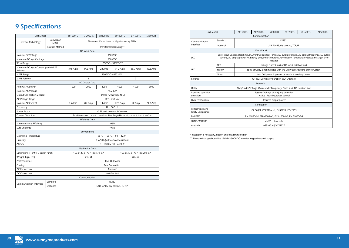# 9 Specifications

| Conversion<br>Sine-wave, Current source, High frequency PWM<br>Inverter Technology<br>Mode<br><b>Isolation Method</b><br>Transformer-less Design*<br>DC Input Data<br>Nominal DC Voltage<br>360 VDC<br>500 VDC<br>Maximum DC Input Voltage<br>Work Range<br>120VDC ~ 500VDC**<br>Maximum DC Input Current (each MPPT<br>10.5 Amp<br>16.7 Amp<br>18.3 Amp<br>14.6 Amp<br>22 Amp<br>14.7 Amp<br>follower)<br><b>MPPT Range</b><br>150 VDC ~ 450 VDC<br>$\overline{2}$<br><b>MPPT Follower</b><br>1<br><b>AC Output Data</b><br>Nominal AC Power<br>1500<br>2000<br>3000<br>4000<br>4600<br>5000<br><b>AC 230V</b><br>Nominal AC Voltage<br><b>Output Connection Method</b><br>1-Phase / 2-Wires (L, N, E)<br>207 ~ 264 Vac<br>AC Voltage Range<br>Nominal AC Current<br>6.5 Amp<br>8.7 Amp<br>13 Amp<br>17.4 Amp<br>20 Amp<br>21.7 Amp<br>$47 \sim 50.5$ Hz<br>Frequency<br>Power Factor<br>>0.99 with nominal AC current<br><b>Current Distortion</b><br>Total Harmonic current : Less than 5% / Single Harmonic current : Less than 3%<br><b>Efficiency Data</b><br>Maximum Cont. Efficiency<br>>96%<br>Euro Efficiency<br>>94%<br>Environment<br><b>Operating Temperature</b><br>-20 °C ~ +50 °C / -4 °F ~ 122 °F<br>Humidity<br>0 to 90% (without condensation)<br>Altitude<br>0 ~ 2000 M / 0 ~ 6600 ft<br>Mechanical Data<br>Dimensions (H x W x D in mm / inch)<br>455 x 510 x 170 / 18 x 20 x 6.7<br>455 x 430 x 170 / 18 x 17 x 6.7<br>Weight (Kgs / Lbs)<br>28/62<br>23/51<br><b>Protection Class</b><br>IP65, Outdoors<br>Cooling<br>Free Convection<br><b>AC Connection</b><br>Terminal<br>Multi-Contact<br>DC Connection<br>Communication<br><b>RS232</b><br>Standard<br>Communication Interface<br>USB, RS485, dry contact, TCP/IP<br>Optional | Unit Model |  | <b>SR1500TL</b> | <b>SR2000TL</b> | SR3000TL | <b>SR4200TL</b> | <b>SR4600TL</b> | <b>SR5000TL</b> |  |  |  |
|-----------------------------------------------------------------------------------------------------------------------------------------------------------------------------------------------------------------------------------------------------------------------------------------------------------------------------------------------------------------------------------------------------------------------------------------------------------------------------------------------------------------------------------------------------------------------------------------------------------------------------------------------------------------------------------------------------------------------------------------------------------------------------------------------------------------------------------------------------------------------------------------------------------------------------------------------------------------------------------------------------------------------------------------------------------------------------------------------------------------------------------------------------------------------------------------------------------------------------------------------------------------------------------------------------------------------------------------------------------------------------------------------------------------------------------------------------------------------------------------------------------------------------------------------------------------------------------------------------------------------------------------------------------------------------------------------------------------------------------------------------------|------------|--|-----------------|-----------------|----------|-----------------|-----------------|-----------------|--|--|--|
|                                                                                                                                                                                                                                                                                                                                                                                                                                                                                                                                                                                                                                                                                                                                                                                                                                                                                                                                                                                                                                                                                                                                                                                                                                                                                                                                                                                                                                                                                                                                                                                                                                                                                                                                                           |            |  |                 |                 |          |                 |                 |                 |  |  |  |
|                                                                                                                                                                                                                                                                                                                                                                                                                                                                                                                                                                                                                                                                                                                                                                                                                                                                                                                                                                                                                                                                                                                                                                                                                                                                                                                                                                                                                                                                                                                                                                                                                                                                                                                                                           |            |  |                 |                 |          |                 |                 |                 |  |  |  |
|                                                                                                                                                                                                                                                                                                                                                                                                                                                                                                                                                                                                                                                                                                                                                                                                                                                                                                                                                                                                                                                                                                                                                                                                                                                                                                                                                                                                                                                                                                                                                                                                                                                                                                                                                           |            |  |                 |                 |          |                 |                 |                 |  |  |  |
|                                                                                                                                                                                                                                                                                                                                                                                                                                                                                                                                                                                                                                                                                                                                                                                                                                                                                                                                                                                                                                                                                                                                                                                                                                                                                                                                                                                                                                                                                                                                                                                                                                                                                                                                                           |            |  |                 |                 |          |                 |                 |                 |  |  |  |
|                                                                                                                                                                                                                                                                                                                                                                                                                                                                                                                                                                                                                                                                                                                                                                                                                                                                                                                                                                                                                                                                                                                                                                                                                                                                                                                                                                                                                                                                                                                                                                                                                                                                                                                                                           |            |  |                 |                 |          |                 |                 |                 |  |  |  |
|                                                                                                                                                                                                                                                                                                                                                                                                                                                                                                                                                                                                                                                                                                                                                                                                                                                                                                                                                                                                                                                                                                                                                                                                                                                                                                                                                                                                                                                                                                                                                                                                                                                                                                                                                           |            |  |                 |                 |          |                 |                 |                 |  |  |  |
|                                                                                                                                                                                                                                                                                                                                                                                                                                                                                                                                                                                                                                                                                                                                                                                                                                                                                                                                                                                                                                                                                                                                                                                                                                                                                                                                                                                                                                                                                                                                                                                                                                                                                                                                                           |            |  |                 |                 |          |                 |                 |                 |  |  |  |
|                                                                                                                                                                                                                                                                                                                                                                                                                                                                                                                                                                                                                                                                                                                                                                                                                                                                                                                                                                                                                                                                                                                                                                                                                                                                                                                                                                                                                                                                                                                                                                                                                                                                                                                                                           |            |  |                 |                 |          |                 |                 |                 |  |  |  |
|                                                                                                                                                                                                                                                                                                                                                                                                                                                                                                                                                                                                                                                                                                                                                                                                                                                                                                                                                                                                                                                                                                                                                                                                                                                                                                                                                                                                                                                                                                                                                                                                                                                                                                                                                           |            |  |                 |                 |          |                 |                 |                 |  |  |  |
|                                                                                                                                                                                                                                                                                                                                                                                                                                                                                                                                                                                                                                                                                                                                                                                                                                                                                                                                                                                                                                                                                                                                                                                                                                                                                                                                                                                                                                                                                                                                                                                                                                                                                                                                                           |            |  |                 |                 |          |                 |                 |                 |  |  |  |
|                                                                                                                                                                                                                                                                                                                                                                                                                                                                                                                                                                                                                                                                                                                                                                                                                                                                                                                                                                                                                                                                                                                                                                                                                                                                                                                                                                                                                                                                                                                                                                                                                                                                                                                                                           |            |  |                 |                 |          |                 |                 |                 |  |  |  |
|                                                                                                                                                                                                                                                                                                                                                                                                                                                                                                                                                                                                                                                                                                                                                                                                                                                                                                                                                                                                                                                                                                                                                                                                                                                                                                                                                                                                                                                                                                                                                                                                                                                                                                                                                           |            |  |                 |                 |          |                 |                 |                 |  |  |  |
|                                                                                                                                                                                                                                                                                                                                                                                                                                                                                                                                                                                                                                                                                                                                                                                                                                                                                                                                                                                                                                                                                                                                                                                                                                                                                                                                                                                                                                                                                                                                                                                                                                                                                                                                                           |            |  |                 |                 |          |                 |                 |                 |  |  |  |
|                                                                                                                                                                                                                                                                                                                                                                                                                                                                                                                                                                                                                                                                                                                                                                                                                                                                                                                                                                                                                                                                                                                                                                                                                                                                                                                                                                                                                                                                                                                                                                                                                                                                                                                                                           |            |  |                 |                 |          |                 |                 |                 |  |  |  |
|                                                                                                                                                                                                                                                                                                                                                                                                                                                                                                                                                                                                                                                                                                                                                                                                                                                                                                                                                                                                                                                                                                                                                                                                                                                                                                                                                                                                                                                                                                                                                                                                                                                                                                                                                           |            |  |                 |                 |          |                 |                 |                 |  |  |  |
|                                                                                                                                                                                                                                                                                                                                                                                                                                                                                                                                                                                                                                                                                                                                                                                                                                                                                                                                                                                                                                                                                                                                                                                                                                                                                                                                                                                                                                                                                                                                                                                                                                                                                                                                                           |            |  |                 |                 |          |                 |                 |                 |  |  |  |
|                                                                                                                                                                                                                                                                                                                                                                                                                                                                                                                                                                                                                                                                                                                                                                                                                                                                                                                                                                                                                                                                                                                                                                                                                                                                                                                                                                                                                                                                                                                                                                                                                                                                                                                                                           |            |  |                 |                 |          |                 |                 |                 |  |  |  |
|                                                                                                                                                                                                                                                                                                                                                                                                                                                                                                                                                                                                                                                                                                                                                                                                                                                                                                                                                                                                                                                                                                                                                                                                                                                                                                                                                                                                                                                                                                                                                                                                                                                                                                                                                           |            |  |                 |                 |          |                 |                 |                 |  |  |  |
|                                                                                                                                                                                                                                                                                                                                                                                                                                                                                                                                                                                                                                                                                                                                                                                                                                                                                                                                                                                                                                                                                                                                                                                                                                                                                                                                                                                                                                                                                                                                                                                                                                                                                                                                                           |            |  |                 |                 |          |                 |                 |                 |  |  |  |
|                                                                                                                                                                                                                                                                                                                                                                                                                                                                                                                                                                                                                                                                                                                                                                                                                                                                                                                                                                                                                                                                                                                                                                                                                                                                                                                                                                                                                                                                                                                                                                                                                                                                                                                                                           |            |  |                 |                 |          |                 |                 |                 |  |  |  |
|                                                                                                                                                                                                                                                                                                                                                                                                                                                                                                                                                                                                                                                                                                                                                                                                                                                                                                                                                                                                                                                                                                                                                                                                                                                                                                                                                                                                                                                                                                                                                                                                                                                                                                                                                           |            |  |                 |                 |          |                 |                 |                 |  |  |  |
|                                                                                                                                                                                                                                                                                                                                                                                                                                                                                                                                                                                                                                                                                                                                                                                                                                                                                                                                                                                                                                                                                                                                                                                                                                                                                                                                                                                                                                                                                                                                                                                                                                                                                                                                                           |            |  |                 |                 |          |                 |                 |                 |  |  |  |
|                                                                                                                                                                                                                                                                                                                                                                                                                                                                                                                                                                                                                                                                                                                                                                                                                                                                                                                                                                                                                                                                                                                                                                                                                                                                                                                                                                                                                                                                                                                                                                                                                                                                                                                                                           |            |  |                 |                 |          |                 |                 |                 |  |  |  |
|                                                                                                                                                                                                                                                                                                                                                                                                                                                                                                                                                                                                                                                                                                                                                                                                                                                                                                                                                                                                                                                                                                                                                                                                                                                                                                                                                                                                                                                                                                                                                                                                                                                                                                                                                           |            |  |                 |                 |          |                 |                 |                 |  |  |  |
|                                                                                                                                                                                                                                                                                                                                                                                                                                                                                                                                                                                                                                                                                                                                                                                                                                                                                                                                                                                                                                                                                                                                                                                                                                                                                                                                                                                                                                                                                                                                                                                                                                                                                                                                                           |            |  |                 |                 |          |                 |                 |                 |  |  |  |
|                                                                                                                                                                                                                                                                                                                                                                                                                                                                                                                                                                                                                                                                                                                                                                                                                                                                                                                                                                                                                                                                                                                                                                                                                                                                                                                                                                                                                                                                                                                                                                                                                                                                                                                                                           |            |  |                 |                 |          |                 |                 |                 |  |  |  |
|                                                                                                                                                                                                                                                                                                                                                                                                                                                                                                                                                                                                                                                                                                                                                                                                                                                                                                                                                                                                                                                                                                                                                                                                                                                                                                                                                                                                                                                                                                                                                                                                                                                                                                                                                           |            |  |                 |                 |          |                 |                 |                 |  |  |  |
|                                                                                                                                                                                                                                                                                                                                                                                                                                                                                                                                                                                                                                                                                                                                                                                                                                                                                                                                                                                                                                                                                                                                                                                                                                                                                                                                                                                                                                                                                                                                                                                                                                                                                                                                                           |            |  |                 |                 |          |                 |                 |                 |  |  |  |
|                                                                                                                                                                                                                                                                                                                                                                                                                                                                                                                                                                                                                                                                                                                                                                                                                                                                                                                                                                                                                                                                                                                                                                                                                                                                                                                                                                                                                                                                                                                                                                                                                                                                                                                                                           |            |  |                 |                 |          |                 |                 |                 |  |  |  |
|                                                                                                                                                                                                                                                                                                                                                                                                                                                                                                                                                                                                                                                                                                                                                                                                                                                                                                                                                                                                                                                                                                                                                                                                                                                                                                                                                                                                                                                                                                                                                                                                                                                                                                                                                           |            |  |                 |                 |          |                 |                 |                 |  |  |  |
|                                                                                                                                                                                                                                                                                                                                                                                                                                                                                                                                                                                                                                                                                                                                                                                                                                                                                                                                                                                                                                                                                                                                                                                                                                                                                                                                                                                                                                                                                                                                                                                                                                                                                                                                                           |            |  |                 |                 |          |                 |                 |                 |  |  |  |
|                                                                                                                                                                                                                                                                                                                                                                                                                                                                                                                                                                                                                                                                                                                                                                                                                                                                                                                                                                                                                                                                                                                                                                                                                                                                                                                                                                                                                                                                                                                                                                                                                                                                                                                                                           |            |  |                 |                 |          |                 |                 |                 |  |  |  |
|                                                                                                                                                                                                                                                                                                                                                                                                                                                                                                                                                                                                                                                                                                                                                                                                                                                                                                                                                                                                                                                                                                                                                                                                                                                                                                                                                                                                                                                                                                                                                                                                                                                                                                                                                           |            |  |                 |                 |          |                 |                 |                 |  |  |  |
|                                                                                                                                                                                                                                                                                                                                                                                                                                                                                                                                                                                                                                                                                                                                                                                                                                                                                                                                                                                                                                                                                                                                                                                                                                                                                                                                                                                                                                                                                                                                                                                                                                                                                                                                                           |            |  |                 |                 |          |                 |                 |                 |  |  |  |
|                                                                                                                                                                                                                                                                                                                                                                                                                                                                                                                                                                                                                                                                                                                                                                                                                                                                                                                                                                                                                                                                                                                                                                                                                                                                                                                                                                                                                                                                                                                                                                                                                                                                                                                                                           |            |  |                 |                 |          |                 |                 |                 |  |  |  |

| Unit Model                           |                                                                                                                                                                                                                                  | SR1500TL                                                                        | <b>SR2000TL</b> | SR3000TL           | <b>SR4200TL</b> | <b>SR4600TL</b> | <b>SR5000TL</b> |  |  |  |
|--------------------------------------|----------------------------------------------------------------------------------------------------------------------------------------------------------------------------------------------------------------------------------|---------------------------------------------------------------------------------|-----------------|--------------------|-----------------|-----------------|-----------------|--|--|--|
| Communication                        |                                                                                                                                                                                                                                  |                                                                                 |                 |                    |                 |                 |                 |  |  |  |
| Communication<br>Interface           | Standard                                                                                                                                                                                                                         | RS232                                                                           |                 |                    |                 |                 |                 |  |  |  |
|                                      | Optional                                                                                                                                                                                                                         | USB, RS485, dry contact, TCP/IP                                                 |                 |                    |                 |                 |                 |  |  |  |
| <b>Front Panel</b>                   |                                                                                                                                                                                                                                  |                                                                                 |                 |                    |                 |                 |                 |  |  |  |
| LCD                                  | Boost input Voltage/Boost input Current/Boost input Power/AC output Voltage /AC output frequency/AC output<br>current /AC output power/AC Energy yield/Inner Temperature/Heat sink Temperature /Status message/ Error<br>message |                                                                                 |                 |                    |                 |                 |                 |  |  |  |
| I FD                                 | <b>RFD</b>                                                                                                                                                                                                                       | Leakage current fault or DC input isolation fault                               |                 |                    |                 |                 |                 |  |  |  |
|                                      | Yellow                                                                                                                                                                                                                           | Spec. of Utility is not matched with the Utility specifications of the inverter |                 |                    |                 |                 |                 |  |  |  |
|                                      | Green                                                                                                                                                                                                                            | Solar Cell power is greater or smaller than sleep power                         |                 |                    |                 |                 |                 |  |  |  |
| Key Pad                              | UP key/ Down key/ Function key/ Enter key                                                                                                                                                                                        |                                                                                 |                 |                    |                 |                 |                 |  |  |  |
| Protection                           |                                                                                                                                                                                                                                  |                                                                                 |                 |                    |                 |                 |                 |  |  |  |
| Utility                              |                                                                                                                                                                                                                                  | Over/under Voltage, Over/ under Frequency, Earth fault, DC Isolation fault      |                 |                    |                 |                 |                 |  |  |  |
| Islanding operation<br>detection     |                                                                                                                                                                                                                                  | Passive : Voltage phase jump detection<br>Active : Reactive power control       |                 |                    |                 |                 |                 |  |  |  |
| Over Temperature                     | Reduced output power                                                                                                                                                                                                             |                                                                                 |                 |                    |                 |                 |                 |  |  |  |
|                                      |                                                                                                                                                                                                                                  |                                                                                 | Certification   |                    |                 |                 |                 |  |  |  |
| Performance and<br>Safety Compliance | ER G83/1, VDE0126-1-1, EN50178, IEC62103                                                                                                                                                                                         |                                                                                 |                 |                    |                 |                 |                 |  |  |  |
| EMI/EMC                              | EN 61000-6-1, EN 61000-6-2, EN 61000-6-3, EN 61000-6-4                                                                                                                                                                           |                                                                                 |                 |                    |                 |                 |                 |  |  |  |
| North American                       |                                                                                                                                                                                                                                  | UL1741, IEEE1547                                                                |                 |                    |                 |                 |                 |  |  |  |
| Australia                            |                                                                                                                                                                                                                                  |                                                                                 |                 | AS3100, AS/NZS4777 |                 |                 |                 |  |  |  |

\* If isolation is necessary, option one extra transformer.

\*\* The rated range should be 150VDC-500VDC in order to get the rated output.